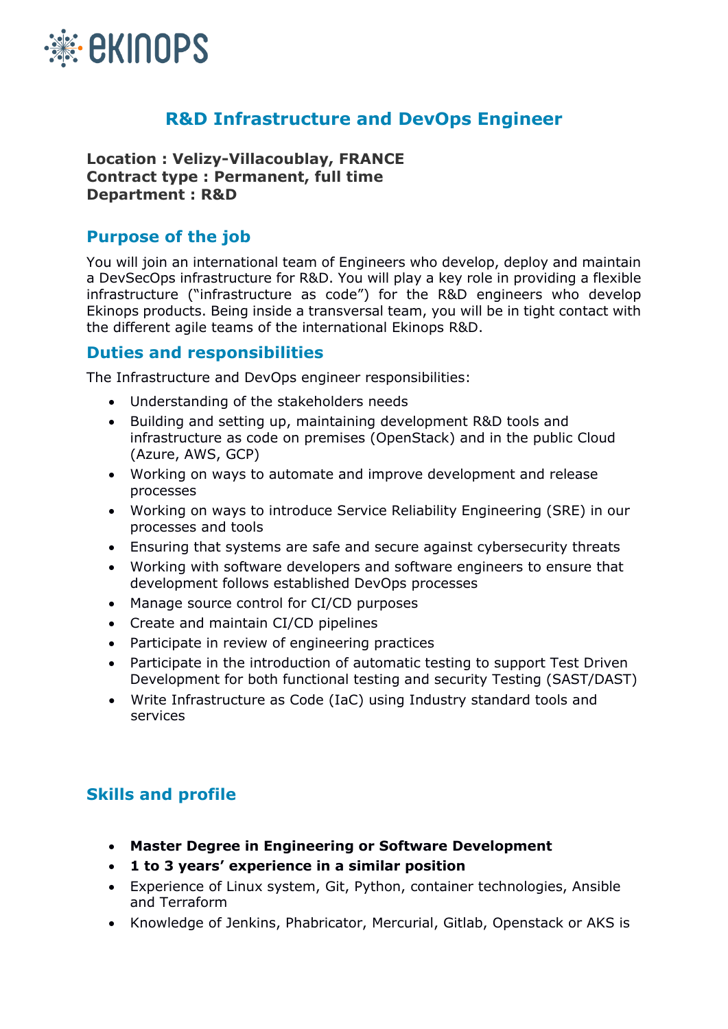

## **R&D Infrastructure and DevOps Engineer**

**Location : Velizy-Villacoublay, FRANCE Contract type : Permanent, full time Department : R&D**

## **Purpose of the job**

You will join an international team of Engineers who develop, deploy and maintain a DevSecOps infrastructure for R&D. You will play a key role in providing a flexible infrastructure ("infrastructure as code") for the R&D engineers who develop Ekinops products. Being inside a transversal team, you will be in tight contact with the different agile teams of the international Ekinops R&D.

## **Duties and responsibilities**

The Infrastructure and DevOps engineer responsibilities:

- Understanding of the stakeholders needs
- Building and setting up, maintaining development R&D tools and infrastructure as code on premises (OpenStack) and in the public Cloud (Azure, AWS, GCP)
- Working on ways to automate and improve development and release processes
- Working on ways to introduce Service Reliability Engineering (SRE) in our processes and tools
- Ensuring that systems are safe and secure against cybersecurity threats
- Working with software developers and software engineers to ensure that development follows established DevOps processes
- Manage source control for CI/CD purposes
- Create and maintain CI/CD pipelines
- Participate in review of engineering practices
- Participate in the introduction of automatic testing to support Test Driven Development for both functional testing and security Testing (SAST/DAST)
- Write Infrastructure as Code (IaC) using Industry standard tools and services

## **Skills and profile**

- **Master Degree in Engineering or Software Development**
- **1 to 3 years' experience in a similar position**
- Experience of Linux system, Git, Python, container technologies, Ansible and Terraform
- Knowledge of Jenkins, Phabricator, Mercurial, Gitlab, Openstack or AKS is